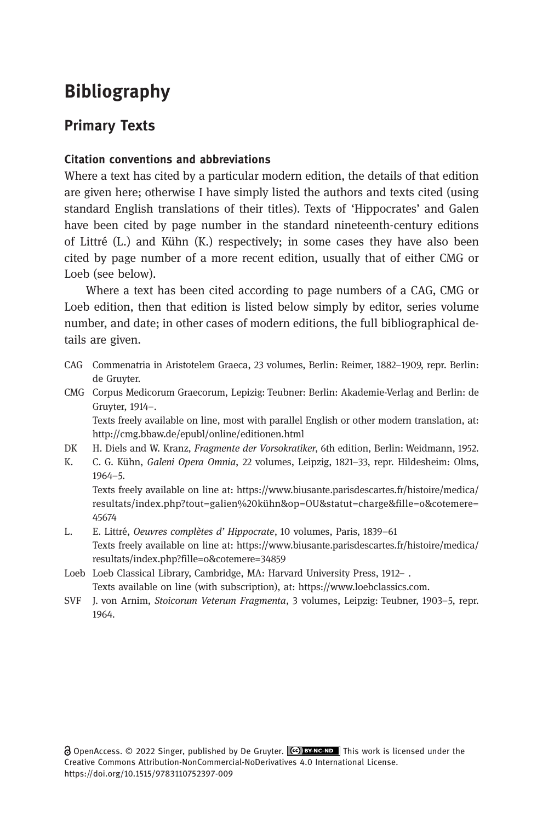# Bibliography

# Primary Texts

# Citation conventions and abbreviations

Where a text has cited by a particular modern edition, the details of that edition are given here; otherwise I have simply listed the authors and texts cited (using standard English translations of their titles). Texts of 'Hippocrates' and Galen have been cited by page number in the standard nineteenth-century editions of Littré (L.) and Kühn (K.) respectively; in some cases they have also been cited by page number of a more recent edition, usually that of either CMG or Loeb (see below).

Where a text has been cited according to page numbers of a CAG, CMG or Loeb edition, then that edition is listed below simply by editor, series volume number, and date; in other cases of modern editions, the full bibliographical details are given.

- CAG Commenatria in Aristotelem Graeca, 23 volumes, Berlin: Reimer, 1882–1909, repr. Berlin: de Gruyter.
- CMG Corpus Medicorum Graecorum, Lepizig: Teubner: Berlin: Akademie-Verlag and Berlin: de Gruyter, 1914–.

Texts freely available on line, most with parallel English or other modern translation, at: <http://cmg.bbaw.de/epubl/online/editionen.html>

- DK H. Diels and W. Kranz, Fragmente der Vorsokratiker, 6th edition, Berlin: Weidmann, 1952.
- K. C. G. Kühn, Galeni Opera Omnia, 22 volumes, Leipzig, 1821–33, repr. Hildesheim: Olms, 1964–5. Texts freely available on line at: [https://www.biusante.parisdescartes.fr/histoire/medica/](https://www.biusante.parisdescartes.fr/histoire/medica/resultats/index.php?tout=galien%20kühn&op=OU&statut=charge&fille=o&cotemere=45674)

[resultats/index.php?tout=galien%20kühn&op=OU&statut=charge&fille=o&cotemere=](https://www.biusante.parisdescartes.fr/histoire/medica/resultats/index.php?tout=galien%20kühn&op=OU&statut=charge&fille=o&cotemere=45674) [45674](https://www.biusante.parisdescartes.fr/histoire/medica/resultats/index.php?tout=galien%20kühn&op=OU&statut=charge&fille=o&cotemere=45674)

- L. E. Littré, Oeuvres complètes d' Hippocrate, 10 volumes, Paris, 1839–61 Texts freely available on line at: [https://www.biusante.parisdescartes.fr/histoire/medica/](https://www.biusante.parisdescartes.fr/histoire/medica/resultats/index.php?fille=o&cotemere=34859) [resultats/index.php?fille=o&cotemere=34859](https://www.biusante.parisdescartes.fr/histoire/medica/resultats/index.php?fille=o&cotemere=34859)
- Loeb Loeb Classical Library, Cambridge, MA: Harvard University Press, 1912– . Texts available on line (with subscription), at: [https://www.loebclassics.com.](https://www.loebclassics.com)
- SVF J. von Arnim, Stoicorum Veterum Fragmenta, 3 volumes, Leipzig: Teubner, 1903–5, repr. 1964.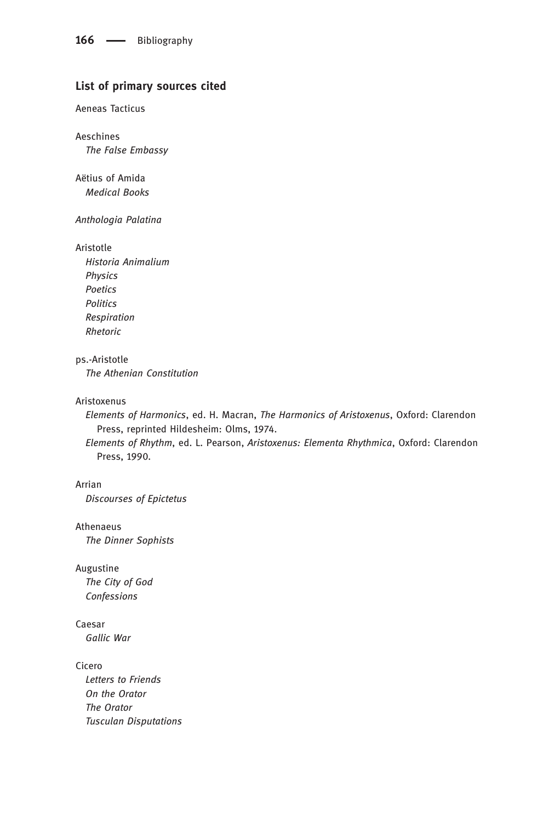# List of primary sources cited

#### Aeneas Tacticus

Aeschines The False Embassy

Aëtius of Amida Medical Books

#### Anthologia Palatina

#### Aristotle

Historia Animalium Physics Poetics Politics Respiration Rhetoric

#### ps.-Aristotle

The Athenian Constitution

#### Aristoxenus

Elements of Harmonics, ed. H. Macran, The Harmonics of Aristoxenus, Oxford: Clarendon Press, reprinted Hildesheim: Olms, 1974.

Elements of Rhythm, ed. L. Pearson, Aristoxenus: Elementa Rhythmica, Oxford: Clarendon Press, 1990.

#### Arrian

Discourses of Epictetus

#### Athenaeus

The Dinner Sophists

### Augustine

The City of God Confessions

# Caesar

Gallic War

### Cicero

Letters to Friends On the Orator The Orator Tusculan Disputations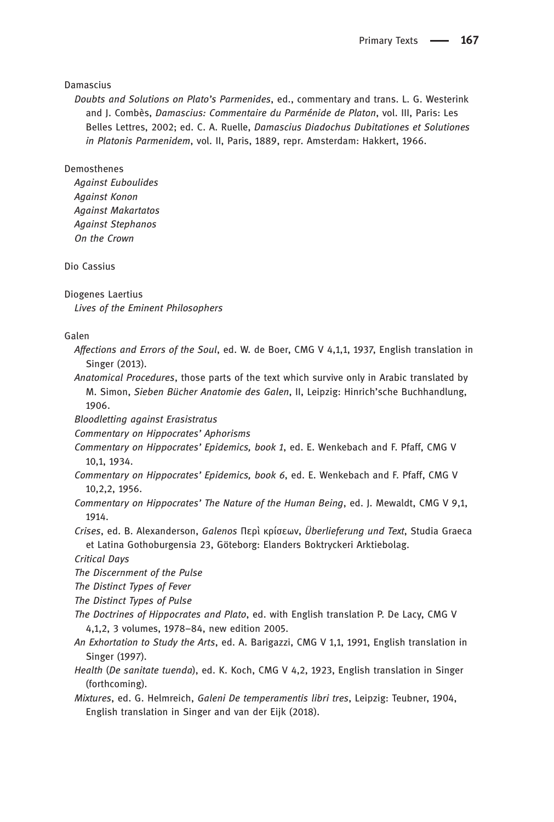#### Damascius

Doubts and Solutions on Plato's Parmenides, ed., commentary and trans. L. G. Westerink and J. Combès, Damascius: Commentaire du Parménide de Platon, vol. III, Paris: Les Belles Lettres, 2002; ed. C. A. Ruelle, Damascius Diadochus Dubitationes et Solutiones in Platonis Parmenidem, vol. II, Paris, 1889, repr. Amsterdam: Hakkert, 1966.

#### Demosthenes

Against Euboulides Against Konon Against Makartatos Against Stephanos On the Crown

Dio Cassius

Diogenes Laertius

Lives of the Eminent Philosophers

#### Galen

- Affections and Errors of the Soul, ed. W. de Boer, CMG V 4,1,1, 1937, English translation in Singer (2013).
- Anatomical Procedures, those parts of the text which survive only in Arabic translated by M. Simon, Sieben Bücher Anatomie des Galen, II, Leipzig: Hinrich'sche Buchhandlung, 1906.
- Bloodletting against Erasistratus
- Commentary on Hippocrates' Aphorisms
- Commentary on Hippocrates' Epidemics, book 1, ed. E. Wenkebach and F. Pfaff, CMG V 10,1, 1934.
- Commentary on Hippocrates' Epidemics, book 6, ed. E. Wenkebach and F. Pfaff, CMG V 10,2,2, 1956.
- Commentary on Hippocrates' The Nature of the Human Being, ed. J. Mewaldt, CMG V 9,1, 1914.
- Crises, ed. B. Alexanderson, Galenos Περὶ κρίσεων, Überlieferung und Text, Studia Graeca et Latina Gothoburgensia 23, Göteborg: Elanders Boktryckeri Arktiebolag.

Critical Days

The Discernment of the Pulse

The Distinct Types of Fever

The Distinct Types of Pulse

- The Doctrines of Hippocrates and Plato, ed. with English translation P. De Lacy, CMG V 4,1,2, 3 volumes, 1978–84, new edition 2005.
- An Exhortation to Study the Arts, ed. A. Barigazzi, CMG V 1,1, 1991, English translation in Singer (1997).
- Health (De sanitate tuenda), ed. K. Koch, CMG V 4,2, 1923, English translation in Singer (forthcoming).
- Mixtures, ed. G. Helmreich, Galeni De temperamentis libri tres, Leipzig: Teubner, 1904, English translation in Singer and van der Eijk (2018).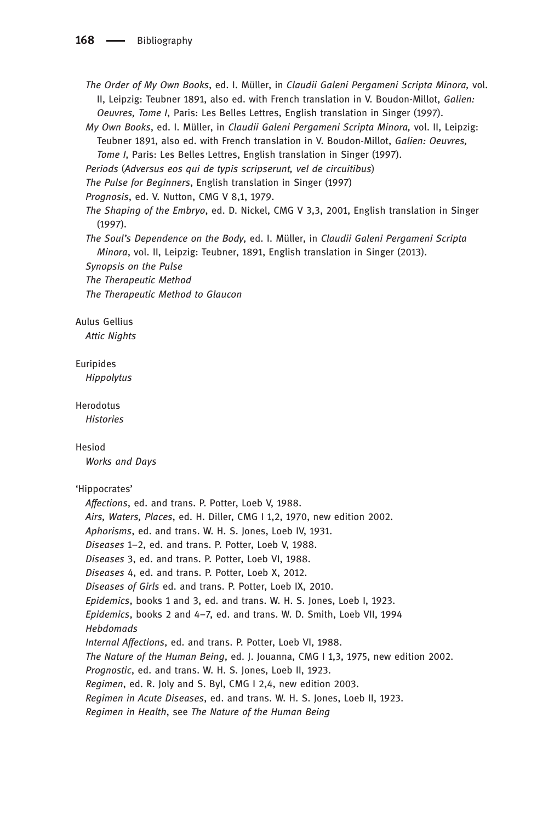The Order of My Own Books, ed. I. Müller, in Claudii Galeni Pergameni Scripta Minora, vol. II, Leipzig: Teubner 1891, also ed. with French translation in V. Boudon-Millot, Galien: Oeuvres, Tome I, Paris: Les Belles Lettres, English translation in Singer (1997).

- My Own Books, ed. I. Müller, in Claudii Galeni Pergameni Scripta Minora, vol. II, Leipzig: Teubner 1891, also ed. with French translation in V. Boudon-Millot, Galien: Oeuvres, Tome I, Paris: Les Belles Lettres, English translation in Singer (1997).
- Periods (Adversus eos qui de typis scripserunt, vel de circuitibus)

The Pulse for Beginners, English translation in Singer (1997)

Prognosis, ed. V. Nutton, CMG V 8,1, 1979.

The Shaping of the Embryo, ed. D. Nickel, CMG V 3,3, 2001, English translation in Singer (1997).

The Soul's Dependence on the Body, ed. I. Müller, in Claudii Galeni Pergameni Scripta Minora, vol. II, Leipzig: Teubner, 1891, English translation in Singer (2013).

Synopsis on the Pulse

The Therapeutic Method

The Therapeutic Method to Glaucon

# Aulus Gellius

Attic Nights

#### Euripides

Hippolytus

Herodotus

**Histories** 

#### Hesiod

Works and Days

#### 'Hippocrates'

Affections, ed. and trans. P. Potter, Loeb V, 1988. Airs, Waters, Places, ed. H. Diller, CMG I 1,2, 1970, new edition 2002. Aphorisms, ed. and trans. W. H. S. Jones, Loeb IV, 1931. Diseases 1–2, ed. and trans. P. Potter, Loeb V, 1988. Diseases 3, ed. and trans. P. Potter, Loeb VI, 1988. Diseases 4, ed. and trans. P. Potter, Loeb X, 2012. Diseases of Girls ed. and trans. P. Potter, Loeb IX, 2010. Epidemics, books 1 and 3, ed. and trans. W. H. S. Jones, Loeb I, 1923. Epidemics, books 2 and 4–7, ed. and trans. W. D. Smith, Loeb VII, 1994 Hebdomads Internal Affections, ed. and trans. P. Potter, Loeb VI, 1988. The Nature of the Human Being, ed. J. Jouanna, CMG I 1,3, 1975, new edition 2002. Prognostic, ed. and trans. W. H. S. Jones, Loeb II, 1923. Regimen, ed. R. Joly and S. Byl, CMG I 2,4, new edition 2003. Regimen in Acute Diseases, ed. and trans. W. H. S. Jones, Loeb II, 1923. Regimen in Health, see The Nature of the Human Being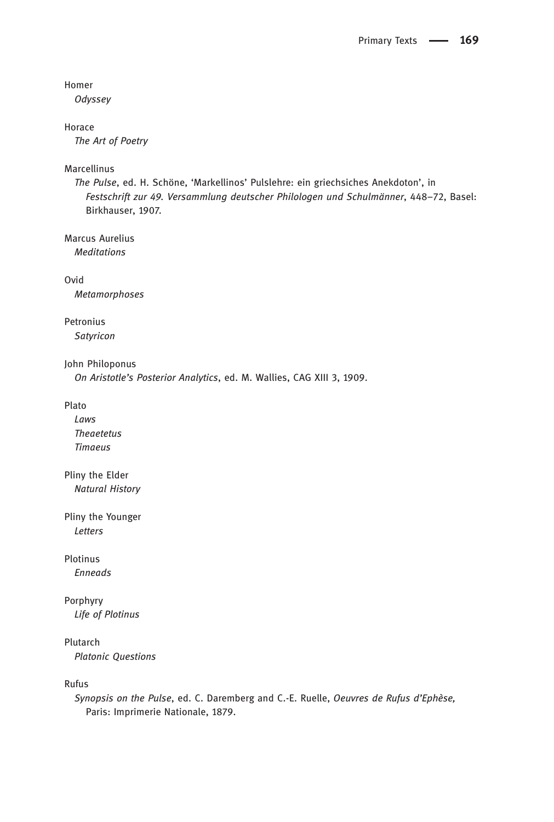#### Homer

**Odyssey** 

#### Horace

The Art of Poetry

#### Marcellinus

The Pulse, ed. H. Schöne, 'Markellinos' Pulslehre: ein griechsiches Anekdoton', in Festschrift zur 49. Versammlung deutscher Philologen und Schulmänner, 448–72, Basel: Birkhauser, 1907.

Marcus Aurelius Meditations

Ovid Metamorphoses

### Petronius **Satyricon**

John Philoponus

On Aristotle's Posterior Analytics, ed. M. Wallies, CAG XIII 3, 1909.

#### Plato

Laws Theaetetus Timaeus

Pliny the Elder Natural History

Pliny the Younger Letters

# Plotinus

Enneads

# Porphyry

Life of Plotinus

# Plutarch

Platonic Questions

Rufus

Synopsis on the Pulse, ed. C. Daremberg and C.-E. Ruelle, Oeuvres de Rufus d'Ephèse, Paris: Imprimerie Nationale, 1879.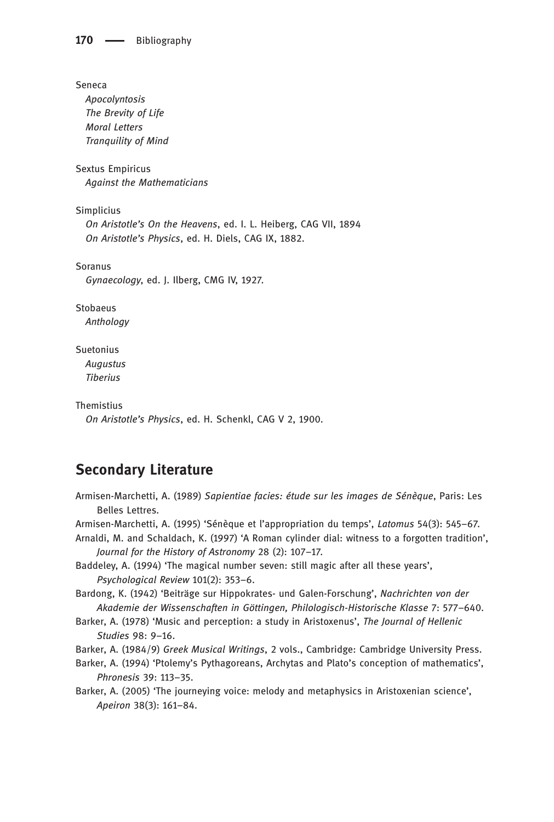Seneca

Apocolyntosis The Brevity of Life Moral Letters Tranquility of Mind

Sextus Empiricus Against the Mathematicians

Simplicius On Aristotle's On the Heavens, ed. I. L. Heiberg, CAG VII, 1894 On Aristotle's Physics, ed. H. Diels, CAG IX, 1882.

Soranus Gynaecology, ed. J. Ilberg, CMG IV, 1927.

Stobaeus Anthology

Suetonius Augustus Tiberius

Themistius

On Aristotle's Physics, ed. H. Schenkl, CAG V 2, 1900.

# Secondary Literature

Armisen-Marchetti, A. (1989) Sapientiae facies: étude sur les images de Sénèque, Paris: Les Belles Lettres.

Armisen-Marchetti, A. (1995) 'Sénèque et l'appropriation du temps', Latomus 54(3): 545–67.

Arnaldi, M. and Schaldach, K. (1997) 'A Roman cylinder dial: witness to a forgotten tradition', Journal for the History of Astronomy 28 (2): 107–17.

Baddeley, A. (1994) 'The magical number seven: still magic after all these years', Psychological Review 101(2): 353–6.

Bardong, K. (1942) 'Beiträge sur Hippokrates- und Galen-Forschung', Nachrichten von der Akademie der Wissenschaften in Göttingen, Philologisch-Historische Klasse 7: 577–640.

Barker, A. (1978) 'Music and perception: a study in Aristoxenus', The Journal of Hellenic Studies 98: 9–16.

Barker, A. (1984/9) Greek Musical Writings, 2 vols., Cambridge: Cambridge University Press.

Barker, A. (1994) 'Ptolemy's Pythagoreans, Archytas and Plato's conception of mathematics', Phronesis 39: 113–35.

Barker, A. (2005) 'The journeying voice: melody and metaphysics in Aristoxenian science', Apeiron 38(3): 161–84.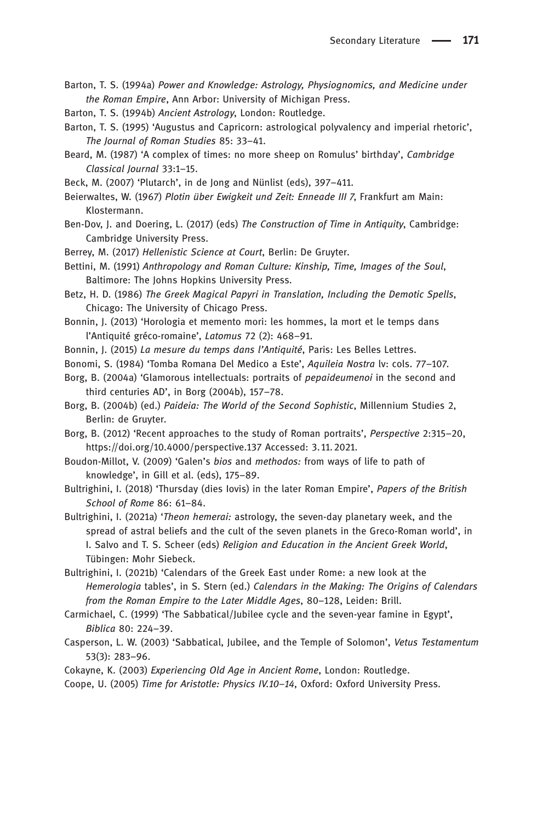- Barton, T. S. (1994a) Power and Knowledge: Astrology, Physiognomics, and Medicine under the Roman Empire, Ann Arbor: University of Michigan Press.
- Barton, T. S. (1994b) Ancient Astrology, London: Routledge.
- Barton, T. S. (1995) 'Augustus and Capricorn: astrological polyvalency and imperial rhetoric', The Journal of Roman Studies 85: 33–41.
- Beard, M. (1987) 'A complex of times: no more sheep on Romulus' birthday', Cambridge Classical Journal 33:1–15.
- Beck, M. (2007) 'Plutarch', in de Jong and Nünlist (eds), 397–411.
- Beierwaltes, W. (1967) Plotin über Ewigkeit und Zeit: Enneade III 7, Frankfurt am Main: Klostermann.
- Ben-Dov, J. and Doering, L. (2017) (eds) The Construction of Time in Antiquity, Cambridge: Cambridge University Press.
- Berrey, M. (2017) Hellenistic Science at Court, Berlin: De Gruyter.
- Bettini, M. (1991) Anthropology and Roman Culture: Kinship, Time, Images of the Soul, Baltimore: The Johns Hopkins University Press.
- Betz, H. D. (1986) The Greek Magical Papyri in Translation, Including the Demotic Spells, Chicago: The University of Chicago Press.
- Bonnin, J. (2013) 'Horologia et memento mori: les hommes, la mort et le temps dans l'Antiquité gréco-romaine', Latomus 72 (2): 468–91.
- Bonnin, J. (2015) La mesure du temps dans l'Antiquité, Paris: Les Belles Lettres.
- Bonomi, S. (1984) 'Tomba Romana Del Medico a Este', Aquileia Nostra lv: cols. 77-107.
- Borg, B. (2004a) 'Glamorous intellectuals: portraits of *pepaideumenoi* in the second and third centuries AD', in Borg (2004b), 157–78.
- Borg, B. (2004b) (ed.) Paideia: The World of the Second Sophistic, Millennium Studies 2, Berlin: de Gruyter.
- Borg, B. (2012) 'Recent approaches to the study of Roman portraits', Perspective 2:315–20, <https://doi.org/10.4000/perspective.137> Accessed: 3. 11.2021.
- Boudon-Millot, V. (2009) 'Galen's bios and methodos: from ways of life to path of knowledge', in Gill et al. (eds), 175–89.
- Bultrighini, I. (2018) 'Thursday (dies Iovis) in the later Roman Empire', Papers of the British School of Rome 86: 61–84.
- Bultrighini, I. (2021a) 'Theon hemerai: astrology, the seven-day planetary week, and the spread of astral beliefs and the cult of the seven planets in the Greco-Roman world', in I. Salvo and T. S. Scheer (eds) Religion and Education in the Ancient Greek World, Tübingen: Mohr Siebeck.
- Bultrighini, I. (2021b) 'Calendars of the Greek East under Rome: a new look at the Hemerologia tables', in S. Stern (ed.) Calendars in the Making: The Origins of Calendars from the Roman Empire to the Later Middle Ages, 80–128, Leiden: Brill.
- Carmichael, C. (1999) 'The Sabbatical/Jubilee cycle and the seven-year famine in Egypt', Biblica 80: 224–39.
- Casperson, L. W. (2003) 'Sabbatical, Jubilee, and the Temple of Solomon', Vetus Testamentum 53(3): 283–96.
- Cokayne, K. (2003) Experiencing Old Age in Ancient Rome, London: Routledge.
- Coope, U. (2005) Time for Aristotle: Physics IV.10–14, Oxford: Oxford University Press.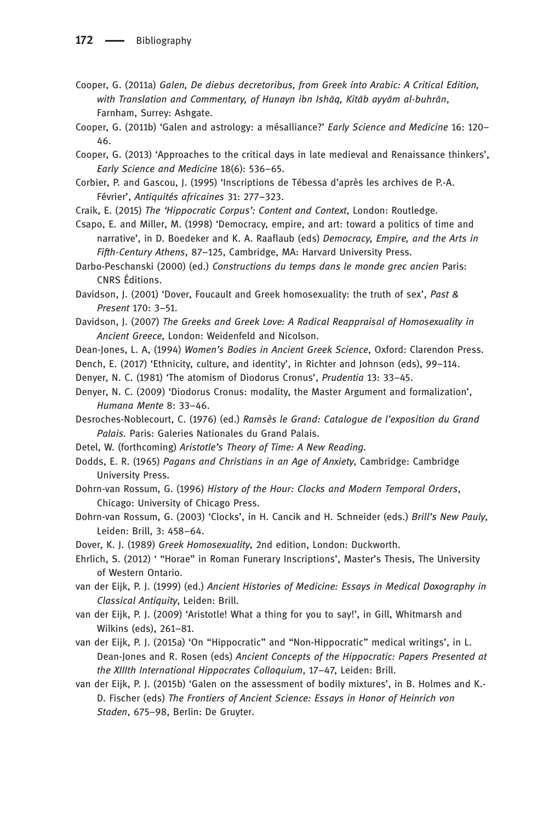- Cooper, G. (2011a) Galen, De diebus decretoribus, from Greek into Arabic: A Critical Edition, with Translation and Commentary, of Hunayn ibn Ishāq, Kitāb ayyām al-buhrān, Farnham, Surrey: Ashgate.
- Cooper, G. (2011b) 'Galen and astrology: a mésalliance?' Early Science and Medicine 16: 120– 46.
- Cooper, G. (2013) 'Approaches to the critical days in late medieval and Renaissance thinkers', Early Science and Medicine 18(6): 536–65.
- Corbier, P. and Gascou, J. (1995) 'Inscriptions de Tébessa d'après les archives de P.-A. Février', Antiquités africaines 31: 277–323.
- Craik, E. (2015) The 'Hippocratic Corpus': Content and Context, London: Routledge.

Csapo, E. and Miller, M. (1998) 'Democracy, empire, and art: toward a politics of time and narrative', in D. Boedeker and K. A. Raaflaub (eds) Democracy, Empire, and the Arts in Fifth-Century Athens, 87–125, Cambridge, MA: Harvard University Press.

Darbo-Peschanski (2000) (ed.) Constructions du temps dans le monde grec ancien Paris: CNRS Éditions.

Davidson, J. (2001) 'Dover, Foucault and Greek homosexuality: the truth of sex', Past & Present 170: 3–51.

Davidson, J. (2007) The Greeks and Greek Love: A Radical Reappraisal of Homosexuality in Ancient Greece, London: Weidenfeld and Nicolson.

Dean-Jones, L. A, (1994) Women's Bodies in Ancient Greek Science, Oxford: Clarendon Press.

- Dench, E. (2017) 'Ethnicity, culture, and identity', in Richter and Johnson (eds), 99–114.
- Denyer, N. C. (1981) 'The atomism of Diodorus Cronus', Prudentia 13: 33–45.
- Denyer, N. C. (2009) 'Diodorus Cronus: modality, the Master Argument and formalization', Humana Mente 8: 33–46.

Desroches-Noblecourt, C. (1976) (ed.) Ramsès le Grand: Catalogue de l'exposition du Grand Palais. Paris: Galeries Nationales du Grand Palais.

- Detel, W. (forthcoming) Aristotle's Theory of Time: A New Reading.
- Dodds, E. R. (1965) Pagans and Christians in an Age of Anxiety, Cambridge: Cambridge University Press.
- Dohrn-van Rossum, G. (1996) History of the Hour: Clocks and Modern Temporal Orders, Chicago: University of Chicago Press.
- Dohrn-van Rossum, G. (2003) 'Clocks', in H. Cancik and H. Schneider (eds.) Brill's New Pauly, Leiden: Brill, 3: 458–64.
- Dover, K. J. (1989) Greek Homosexuality, 2nd edition, London: Duckworth.
- Ehrlich, S. (2012) ' "Horae" in Roman Funerary Inscriptions', Master's Thesis, The University of Western Ontario.
- van der Eijk, P. J. (1999) (ed.) Ancient Histories of Medicine: Essays in Medical Doxography in Classical Antiquity, Leiden: Brill.
- van der Eijk, P. J. (2009) 'Aristotle! What a thing for you to say!', in Gill, Whitmarsh and Wilkins (eds), 261–81.
- van der Eijk, P. J. (2015a) 'On "Hippocratic" and "Non-Hippocratic" medical writings', in L. Dean-Jones and R. Rosen (eds) Ancient Concepts of the Hippocratic: Papers Presented at the XIIIth International Hippocrates Colloquium, 17–47, Leiden: Brill.
- van der Eijk, P. J. (2015b) 'Galen on the assessment of bodily mixtures', in B. Holmes and K.- D. Fischer (eds) The Frontiers of Ancient Science: Essays in Honor of Heinrich von Staden, 675–98, Berlin: De Gruyter.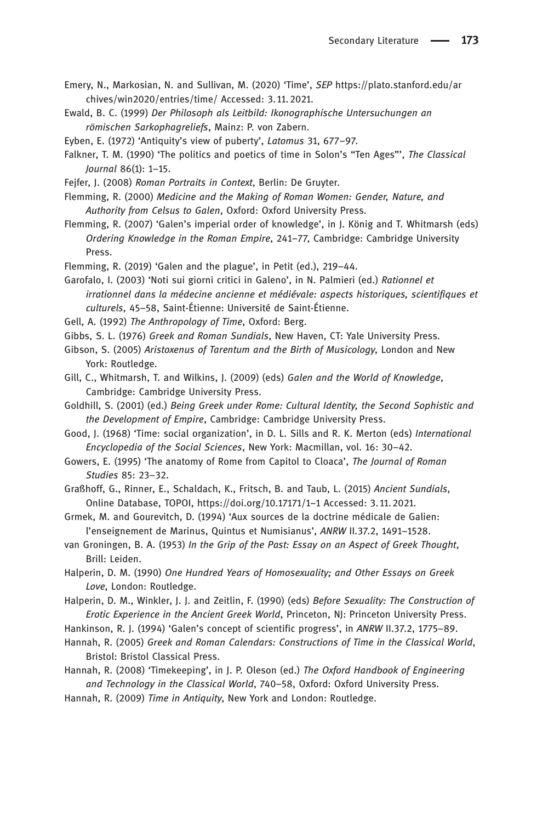- Emery, N., Markosian, N. and Sullivan, M. (2020) 'Time', SEP [https://plato.stanford.edu/ar](https://plato.stanford.edu/archives/win2020/entries/time/) [chives/win2020/entries/time/](https://plato.stanford.edu/archives/win2020/entries/time/) Accessed: 3. 11.2021.
- Ewald, B. C. (1999) Der Philosoph als Leitbild: Ikonographische Untersuchungen an römischen Sarkophagreliefs, Mainz: P. von Zabern.
- Eyben, E. (1972) 'Antiquity's view of puberty', Latomus 31, 677–97.
- Falkner, T. M. (1990) 'The politics and poetics of time in Solon's "Ten Ages"', The Classical Journal 86(1): 1–15.
- Fejfer, J. (2008) Roman Portraits in Context, Berlin: De Gruyter.
- Flemming, R. (2000) Medicine and the Making of Roman Women: Gender, Nature, and Authority from Celsus to Galen, Oxford: Oxford University Press.
- Flemming, R. (2007) 'Galen's imperial order of knowledge', in J. König and T. Whitmarsh (eds) Ordering Knowledge in the Roman Empire, 241–77, Cambridge: Cambridge University Press.
- Flemming, R. (2019) 'Galen and the plague', in Petit (ed.), 219–44.
- Garofalo, I. (2003) 'Noti sui giorni critici in Galeno', in N. Palmieri (ed.) Rationnel et irrationnel dans la médecine ancienne et médiévale: aspects historiques, scientifiques et culturels, 45–58, Saint-Étienne: Université de Saint-Étienne.
- Gell, A. (1992) The Anthropology of Time, Oxford: Berg.
- Gibbs, S. L. (1976) Greek and Roman Sundials, New Haven, CT: Yale University Press.
- Gibson, S. (2005) Aristoxenus of Tarentum and the Birth of Musicology, London and New York: Routledge.
- Gill, C., Whitmarsh, T. and Wilkins, J. (2009) (eds) Galen and the World of Knowledge, Cambridge: Cambridge University Press.
- Goldhill, S. (2001) (ed.) Being Greek under Rome: Cultural Identity, the Second Sophistic and the Development of Empire, Cambridge: Cambridge University Press.
- Good, J. (1968) 'Time: social organization', in D. L. Sills and R. K. Merton (eds) International Encyclopedia of the Social Sciences, New York: Macmillan, vol. 16: 30–42.
- Gowers, E. (1995) 'The anatomy of Rome from Capitol to Cloaca', The Journal of Roman Studies 85: 23–32.
- Graßhoff, G., Rinner, E., Schaldach, K., Fritsch, B. and Taub, L. (2015) Ancient Sundials, Online Database, TOPOI, https://doi.org/10.17171/1–1 Accessed: 3. 11.2021.
- Grmek, M. and Gourevitch, D. (1994) 'Aux sources de la doctrine médicale de Galien: l'enseignement de Marinus, Quintus et Numisianus', ANRW II.37.2, 1491–1528.
- van Groningen, B. A. (1953) In the Grip of the Past: Essay on an Aspect of Greek Thought, Brill: Leiden.
- Halperin, D. M. (1990) One Hundred Years of Homosexuality; and Other Essays on Greek Love, London: Routledge.
- Halperin, D. M., Winkler, J. J. and Zeitlin, F. (1990) (eds) Before Sexuality: The Construction of Erotic Experience in the Ancient Greek World, Princeton, NJ: Princeton University Press.
- Hankinson, R. J. (1994) 'Galen's concept of scientific progress', in ANRW II.37.2, 1775–89.
- Hannah, R. (2005) Greek and Roman Calendars: Constructions of Time in the Classical World, Bristol: Bristol Classical Press.
- Hannah, R. (2008) 'Timekeeping', in J. P. Oleson (ed.) The Oxford Handbook of Engineering and Technology in the Classical World, 740–58, Oxford: Oxford University Press.
- Hannah, R. (2009) Time in Antiquity, New York and London: Routledge.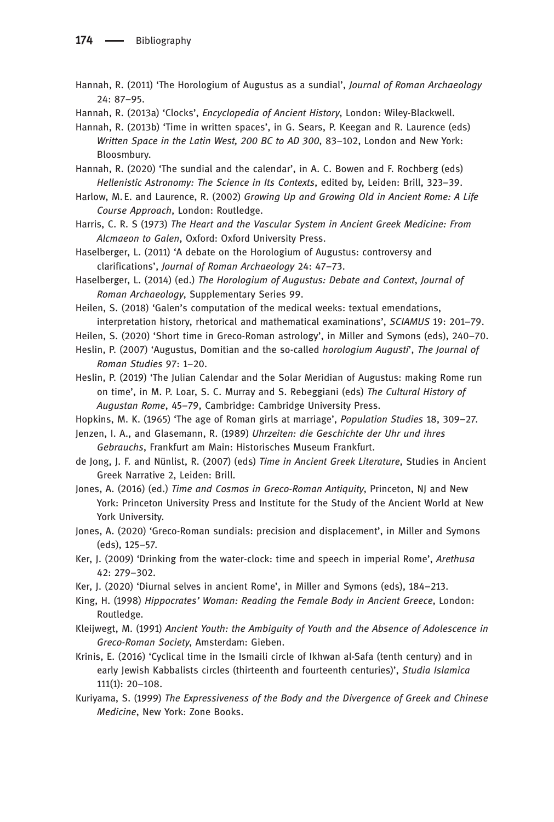- Hannah, R. (2011) 'The Horologium of Augustus as a sundial', Journal of Roman Archaeology 24: 87–95.
- Hannah, R. (2013a) 'Clocks', Encyclopedia of Ancient History, London: Wiley-Blackwell.

Hannah, R. (2013b) 'Time in written spaces', in G. Sears, P. Keegan and R. Laurence (eds) Written Space in the Latin West, 200 BC to AD 300, 83–102, London and New York: Bloosmbury.

Hannah, R. (2020) 'The sundial and the calendar', in A. C. Bowen and F. Rochberg (eds) Hellenistic Astronomy: The Science in Its Contexts, edited by, Leiden: Brill, 323–39.

Harlow, M. E. and Laurence, R. (2002) Growing Up and Growing Old in Ancient Rome: A Life Course Approach, London: Routledge.

Harris, C. R. S (1973) The Heart and the Vascular System in Ancient Greek Medicine: From Alcmaeon to Galen, Oxford: Oxford University Press.

Haselberger, L. (2011) 'A debate on the Horologium of Augustus: controversy and clarifications', Journal of Roman Archaeology 24: 47–73.

Haselberger, L. (2014) (ed.) The Horologium of Augustus: Debate and Context, Journal of Roman Archaeology, Supplementary Series 99.

Heilen, S. (2018) 'Galen's computation of the medical weeks: textual emendations, interpretation history, rhetorical and mathematical examinations', SCIAMUS 19: 201–79.

Heilen, S. (2020) 'Short time in Greco-Roman astrology', in Miller and Symons (eds), 240–70.

Heslin, P. (2007) 'Augustus, Domitian and the so-called horologium Augusti', The Journal of Roman Studies 97: 1–20.

Heslin, P. (2019) 'The Julian Calendar and the Solar Meridian of Augustus: making Rome run on time', in M. P. Loar, S. C. Murray and S. Rebeggiani (eds) The Cultural History of Augustan Rome, 45–79, Cambridge: Cambridge University Press.

Hopkins, M. K. (1965) 'The age of Roman girls at marriage', Population Studies 18, 309–27.

- Jenzen, I. A., and Glasemann, R. (1989) Uhrzeiten: die Geschichte der Uhr und ihres Gebrauchs, Frankfurt am Main: Historisches Museum Frankfurt.
- de Jong, J. F. and Nünlist, R. (2007) (eds) Time in Ancient Greek Literature, Studies in Ancient Greek Narrative 2, Leiden: Brill.
- Jones, A. (2016) (ed.) Time and Cosmos in Greco-Roman Antiquity, Princeton, NJ and New York: Princeton University Press and Institute for the Study of the Ancient World at New York University.
- Jones, A. (2020) 'Greco-Roman sundials: precision and displacement', in Miller and Symons (eds), 125–57.
- Ker, J. (2009) 'Drinking from the water-clock: time and speech in imperial Rome', Arethusa 42: 279–302.
- Ker, J. (2020) 'Diurnal selves in ancient Rome', in Miller and Symons (eds), 184–213.
- King, H. (1998) Hippocrates' Woman: Reading the Female Body in Ancient Greece, London: Routledge.
- Kleijwegt, M. (1991) Ancient Youth: the Ambiguity of Youth and the Absence of Adolescence in Greco-Roman Society, Amsterdam: Gieben.
- Krinis, E. (2016) 'Cyclical time in the Ismaili circle of Ikhwan al-Safa (tenth century) and in early Jewish Kabbalists circles (thirteenth and fourteenth centuries)', Studia Islamica 111(1): 20–108.
- Kuriyama, S. (1999) The Expressiveness of the Body and the Divergence of Greek and Chinese Medicine, New York: Zone Books.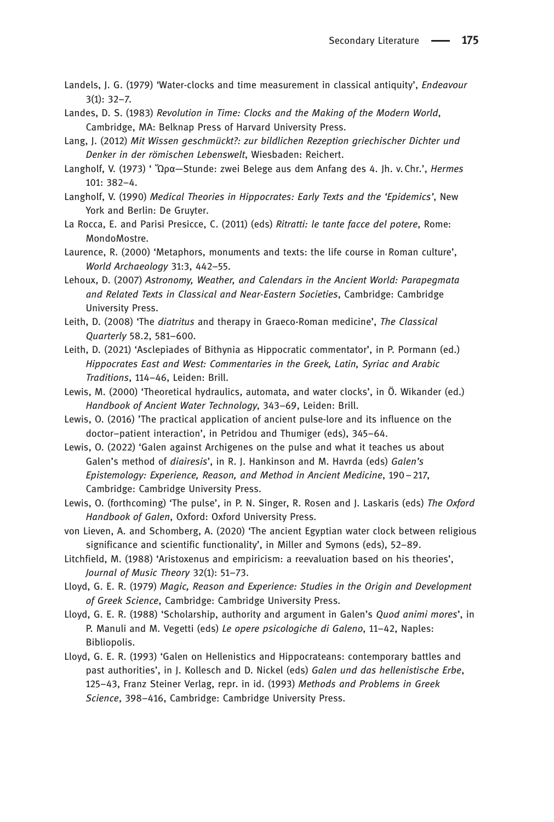- Landels, J. G. (1979) 'Water-clocks and time measurement in classical antiquity', *Endeavour* 3(1): 32–7.
- Landes, D. S. (1983) Revolution in Time: Clocks and the Making of the Modern World, Cambridge, MA: Belknap Press of Harvard University Press.
- Lang, J. (2012) Mit Wissen geschmückt?: zur bildlichen Rezeption griechischer Dichter und Denker in der römischen Lebenswelt, Wiesbaden: Reichert.
- Langholf, V. (1973) ' Ὥρα—Stunde: zwei Belege aus dem Anfang des 4. Jh. v.Chr.', Hermes 101: 382–4.
- Langholf, V. (1990) Medical Theories in Hippocrates: Early Texts and the 'Epidemics', New York and Berlin: De Gruyter.
- La Rocca, E. and Parisi Presicce, C. (2011) (eds) Ritratti: le tante facce del potere, Rome: MondoMostre.
- Laurence, R. (2000) 'Metaphors, monuments and texts: the life course in Roman culture', World Archaeology 31:3, 442–55.
- Lehoux, D. (2007) Astronomy, Weather, and Calendars in the Ancient World: Parapegmata and Related Texts in Classical and Near-Eastern Societies, Cambridge: Cambridge University Press.
- Leith, D. (2008) 'The diatritus and therapy in Graeco-Roman medicine', The Classical Quarterly 58.2, 581–600.
- Leith, D. (2021) 'Asclepiades of Bithynia as Hippocratic commentator', in P. Pormann (ed.) Hippocrates East and West: Commentaries in the Greek, Latin, Syriac and Arabic Traditions, 114–46, Leiden: Brill.
- Lewis, M. (2000) 'Theoretical hydraulics, automata, and water clocks', in Ö. Wikander (ed.) Handbook of Ancient Water Technology, 343–69, Leiden: Brill.
- Lewis, O. (2016) 'The practical application of ancient pulse-lore and its influence on the doctor–patient interaction', in Petridou and Thumiger (eds), 345–64.
- Lewis, O. (2022) 'Galen against Archigenes on the pulse and what it teaches us about Galen's method of diairesis', in R. J. Hankinson and M. Havrda (eds) Galen's Epistemology: Experience, Reason, and Method in Ancient Medicine, 190–217, Cambridge: Cambridge University Press.
- Lewis, O. (forthcoming) 'The pulse', in P. N. Singer, R. Rosen and J. Laskaris (eds) The Oxford Handbook of Galen, Oxford: Oxford University Press.
- von Lieven, A. and Schomberg, A. (2020) 'The ancient Egyptian water clock between religious significance and scientific functionality', in Miller and Symons (eds), 52–89.
- Litchfield, M. (1988) 'Aristoxenus and empiricism: a reevaluation based on his theories', Journal of Music Theory 32(1): 51–73.
- Lloyd, G. E. R. (1979) Magic, Reason and Experience: Studies in the Origin and Development of Greek Science, Cambridge: Cambridge University Press.
- Lloyd, G. E. R. (1988) 'Scholarship, authority and argument in Galen's Quod animi mores', in P. Manuli and M. Vegetti (eds) Le opere psicologiche di Galeno, 11–42, Naples: Bibliopolis.
- Lloyd, G. E. R. (1993) 'Galen on Hellenistics and Hippocrateans: contemporary battles and past authorities', in J. Kollesch and D. Nickel (eds) Galen und das hellenistische Erbe, 125–43, Franz Steiner Verlag, repr. in id. (1993) Methods and Problems in Greek Science, 398–416, Cambridge: Cambridge University Press.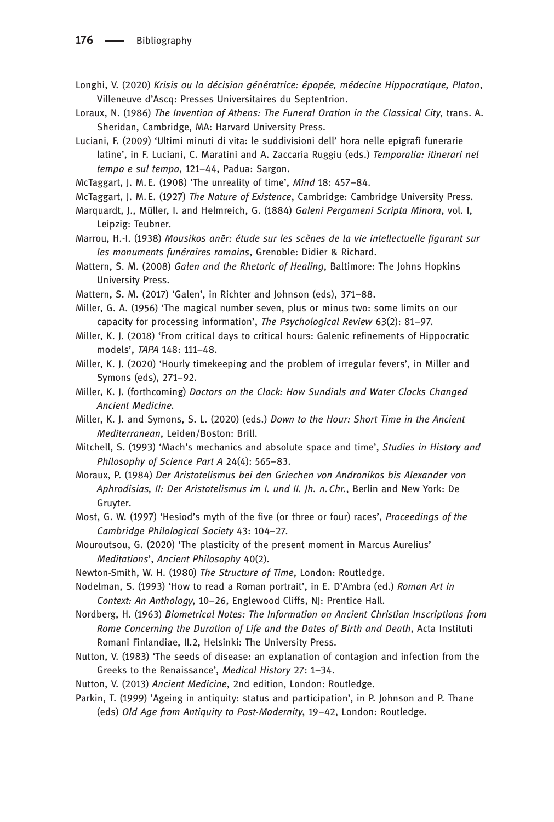- Longhi, V. (2020) Krisis ou la décision génératrice: épopée, médecine Hippocratique, Platon, Villeneuve d'Ascq: Presses Universitaires du Septentrion.
- Loraux, N. (1986) The Invention of Athens: The Funeral Oration in the Classical City, trans. A. Sheridan, Cambridge, MA: Harvard University Press.
- Luciani, F. (2009) 'Ultimi minuti di vita: le suddivisioni dell' hora nelle epigrafi funerarie latine', in F. Luciani, C. Maratini and A. Zaccaria Ruggiu (eds.) Temporalia: itinerari nel tempo e sul tempo, 121–44, Padua: Sargon.
- McTaggart, J. M.E. (1908) 'The unreality of time', Mind 18: 457–84.
- McTaggart, J. M.E. (1927) The Nature of Existence, Cambridge: Cambridge University Press.
- Marquardt, J., Müller, I. and Helmreich, G. (1884) Galeni Pergameni Scripta Minora, vol. I, Leipzig: Teubner.
- Marrou, H.-I. (1938) Mousikos anēr: étude sur les scènes de la vie intellectuelle figurant sur les monuments funéraires romains, Grenoble: Didier & Richard.
- Mattern, S. M. (2008) Galen and the Rhetoric of Healing, Baltimore: The Johns Hopkins University Press.
- Mattern, S. M. (2017) 'Galen', in Richter and Johnson (eds), 371–88.
- Miller, G. A. (1956) 'The magical number seven, plus or minus two: some limits on our capacity for processing information', The Psychological Review 63(2): 81–97.
- Miller, K. J. (2018) 'From critical days to critical hours: Galenic refinements of Hippocratic models', TAPA 148: 111–48.
- Miller, K. J. (2020) 'Hourly timekeeping and the problem of irregular fevers', in Miller and Symons (eds), 271–92.
- Miller, K. J. (forthcoming) Doctors on the Clock: How Sundials and Water Clocks Changed Ancient Medicine.
- Miller, K. J. and Symons, S. L. (2020) (eds.) Down to the Hour: Short Time in the Ancient Mediterranean, Leiden/Boston: Brill.
- Mitchell, S. (1993) 'Mach's mechanics and absolute space and time', Studies in History and Philosophy of Science Part A 24(4): 565–83.
- Moraux, P. (1984) Der Aristotelismus bei den Griechen von Andronikos bis Alexander von Aphrodisias, II: Der Aristotelismus im I. und II. Jh. n.Chr., Berlin and New York: De Gruyter.
- Most, G. W. (1997) 'Hesiod's myth of the five (or three or four) races', Proceedings of the Cambridge Philological Society 43: 104–27.
- Mouroutsou, G. (2020) 'The plasticity of the present moment in Marcus Aurelius' Meditations', Ancient Philosophy 40(2).
- Newton-Smith, W. H. (1980) The Structure of Time, London: Routledge.
- Nodelman, S. (1993) 'How to read a Roman portrait', in E. D'Ambra (ed.) Roman Art in Context: An Anthology, 10-26, Englewood Cliffs, NJ: Prentice Hall.
- Nordberg, H. (1963) Biometrical Notes: The Information on Ancient Christian Inscriptions from Rome Concerning the Duration of Life and the Dates of Birth and Death, Acta Instituti Romani Finlandiae, II.2, Helsinki: The University Press.
- Nutton, V. (1983) 'The seeds of disease: an explanation of contagion and infection from the Greeks to the Renaissance', Medical History 27: 1–34.
- Nutton, V. (2013) Ancient Medicine, 2nd edition, London: Routledge.
- Parkin, T. (1999) 'Ageing in antiquity: status and participation', in P. Johnson and P. Thane (eds) Old Age from Antiquity to Post-Modernity, 19–42, London: Routledge.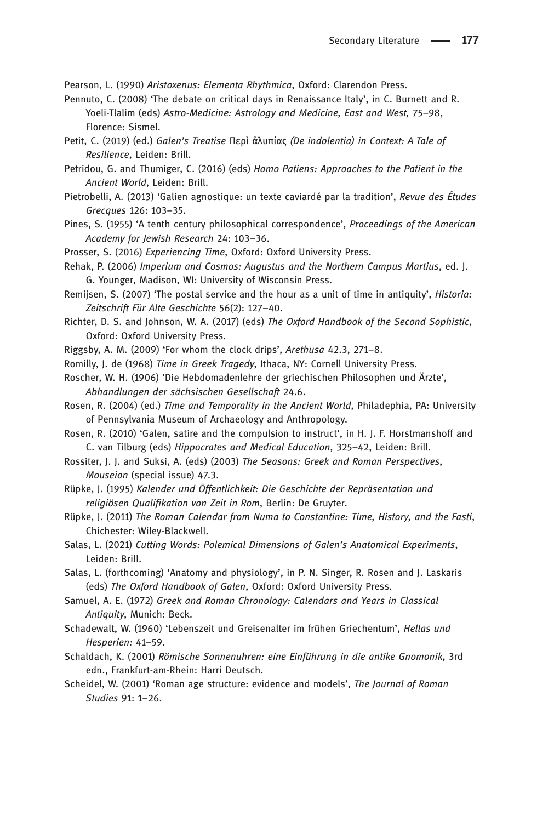Pearson, L. (1990) Aristoxenus: Elementa Rhythmica, Oxford: Clarendon Press.

- Pennuto, C. (2008) 'The debate on critical days in Renaissance Italy', in C. Burnett and R. Yoeli-Tlalim (eds) Astro-Medicine: Astrology and Medicine, East and West, 75–98, Florence: Sismel.
- Petit, C. (2019) (ed.) Galen's Treatise Περὶ ἀλυπίας (De indolentia) in Context: A Tale of Resilience, Leiden: Brill.
- Petridou, G. and Thumiger, C. (2016) (eds) Homo Patiens: Approaches to the Patient in the Ancient World, Leiden: Brill.
- Pietrobelli, A. (2013) 'Galien agnostique: un texte caviardé par la tradition', Revue des Études Grecques 126: 103–35.
- Pines, S. (1955) 'A tenth century philosophical correspondence', Proceedings of the American Academy for Jewish Research 24: 103–36.
- Prosser, S. (2016) Experiencing Time, Oxford: Oxford University Press.
- Rehak, P. (2006) Imperium and Cosmos: Augustus and the Northern Campus Martius, ed. J. G. Younger, Madison, WI: University of Wisconsin Press.
- Remijsen, S. (2007) 'The postal service and the hour as a unit of time in antiquity', Historia: Zeitschrift Für Alte Geschichte 56(2): 127-40.
- Richter, D. S. and Johnson, W. A. (2017) (eds) The Oxford Handbook of the Second Sophistic, Oxford: Oxford University Press.
- Riggsby, A. M. (2009) 'For whom the clock drips', Arethusa 42.3, 271–8.
- Romilly, J. de (1968) Time in Greek Tragedy, Ithaca, NY: Cornell University Press.
- Roscher, W. H. (1906) 'Die Hebdomadenlehre der griechischen Philosophen und Ärzte', Abhandlungen der sächsischen Gesellschaft 24.6.
- Rosen, R. (2004) (ed.) Time and Temporality in the Ancient World, Philadephia, PA: University of Pennsylvania Museum of Archaeology and Anthropology.
- Rosen, R. (2010) 'Galen, satire and the compulsion to instruct', in H. J. F. Horstmanshoff and C. van Tilburg (eds) Hippocrates and Medical Education, 325–42, Leiden: Brill.
- Rossiter, J. J. and Suksi, A. (eds) (2003) The Seasons: Greek and Roman Perspectives, Mouseion (special issue) 47.3.
- Rüpke, J. (1995) Kalender und Öffentlichkeit: Die Geschichte der Repräsentation und religiösen Qualifikation von Zeit in Rom, Berlin: De Gruyter.
- Rüpke, J. (2011) The Roman Calendar from Numa to Constantine: Time, History, and the Fasti, Chichester: Wiley-Blackwell.
- Salas, L. (2021) Cutting Words: Polemical Dimensions of Galen's Anatomical Experiments, Leiden: Brill.
- Salas, L. (forthcoming) 'Anatomy and physiology', in P. N. Singer, R. Rosen and J. Laskaris (eds) The Oxford Handbook of Galen, Oxford: Oxford University Press.
- Samuel, A. E. (1972) Greek and Roman Chronology: Calendars and Years in Classical Antiquity, Munich: Beck.
- Schadewalt, W. (1960) 'Lebenszeit und Greisenalter im frühen Griechentum', Hellas und Hesperien: 41–59.
- Schaldach, K. (2001) Römische Sonnenuhren: eine Einführung in die antike Gnomonik, 3rd edn., Frankfurt-am-Rhein: Harri Deutsch.
- Scheidel, W. (2001) 'Roman age structure: evidence and models', The Journal of Roman Studies 91: 1–26.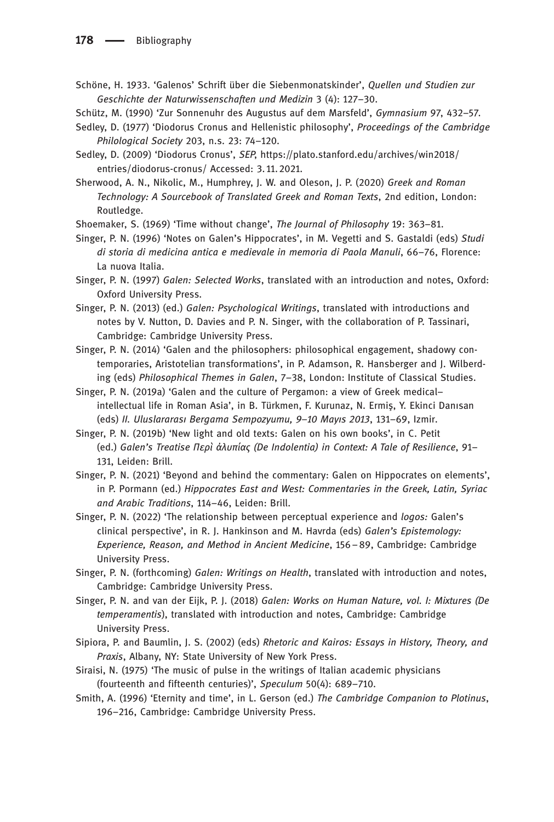- Schöne, H. 1933. 'Galenos' Schrift über die Siebenmonatskinder', Quellen und Studien zur Geschichte der Naturwissenschaften und Medizin 3 (4): 127–30.
- Schütz, M. (1990) 'Zur Sonnenuhr des Augustus auf dem Marsfeld', Gymnasium 97, 432–57.
- Sedley, D. (1977) 'Diodorus Cronus and Hellenistic philosophy', Proceedings of the Cambridge Philological Society 203, n.s. 23: 74–120.
- Sedley, D. (2009) 'Diodorus Cronus', SEP, https://plato.stanford.edu/archives/win2018/ entries/diodorus-cronus/ Accessed: 3. 11.2021.
- Sherwood, A. N., Nikolic, M., Humphrey, J. W. and Oleson, J. P. (2020) Greek and Roman Technology: A Sourcebook of Translated Greek and Roman Texts, 2nd edition, London: Routledge.
- Shoemaker, S. (1969) 'Time without change', The Journal of Philosophy 19: 363–81.
- Singer, P. N. (1996) 'Notes on Galen's Hippocrates', in M. Vegetti and S. Gastaldi (eds) Studi di storia di medicina antica e medievale in memoria di Paola Manuli, 66–76, Florence: La nuova Italia.
- Singer, P. N. (1997) Galen: Selected Works, translated with an introduction and notes, Oxford: Oxford University Press.
- Singer, P. N. (2013) (ed.) Galen: Psychological Writings, translated with introductions and notes by V. Nutton, D. Davies and P. N. Singer, with the collaboration of P. Tassinari, Cambridge: Cambridge University Press.
- Singer, P. N. (2014) 'Galen and the philosophers: philosophical engagement, shadowy contemporaries, Aristotelian transformations', in P. Adamson, R. Hansberger and J. Wilberding (eds) Philosophical Themes in Galen, 7–38, London: Institute of Classical Studies.
- Singer, P. N. (2019a) 'Galen and the culture of Pergamon: a view of Greek medical– intellectual life in Roman Asia', in B. Türkmen, F. Kurunaz, N. Ermiş, Y. Ekinci Danısan (eds) II. Uluslararası Bergama Sempozyumu, 9–10 Mayıs 2013, 131–69, Izmir.
- Singer, P. N. (2019b) 'New light and old texts: Galen on his own books', in C. Petit (ed.) Galen's Treatise Περὶ ἀλυπίας (De Indolentia) in Context: A Tale of Resilience, 91– 131, Leiden: Brill.
- Singer, P. N. (2021) 'Beyond and behind the commentary: Galen on Hippocrates on elements', in P. Pormann (ed.) Hippocrates East and West: Commentaries in the Greek, Latin, Syriac and Arabic Traditions, 114–46, Leiden: Brill.
- Singer, P. N. (2022) 'The relationship between perceptual experience and logos: Galen's clinical perspective', in R. J. Hankinson and M. Havrda (eds) Galen's Epistemology: Experience, Reason, and Method in Ancient Medicine, 156–89, Cambridge: Cambridge University Press.
- Singer, P. N. (forthcoming) Galen: Writings on Health, translated with introduction and notes, Cambridge: Cambridge University Press.
- Singer, P. N. and van der Eijk, P. J. (2018) Galen: Works on Human Nature, vol. I: Mixtures (De temperamentis), translated with introduction and notes, Cambridge: Cambridge University Press.
- Sipiora, P. and Baumlin, J. S. (2002) (eds) Rhetoric and Kairos: Essays in History, Theory, and Praxis, Albany, NY: State University of New York Press.
- Siraisi, N. (1975) 'The music of pulse in the writings of Italian academic physicians (fourteenth and fifteenth centuries)', Speculum 50(4): 689–710.
- Smith, A. (1996) 'Eternity and time', in L. Gerson (ed.) The Cambridge Companion to Plotinus, 196–216, Cambridge: Cambridge University Press.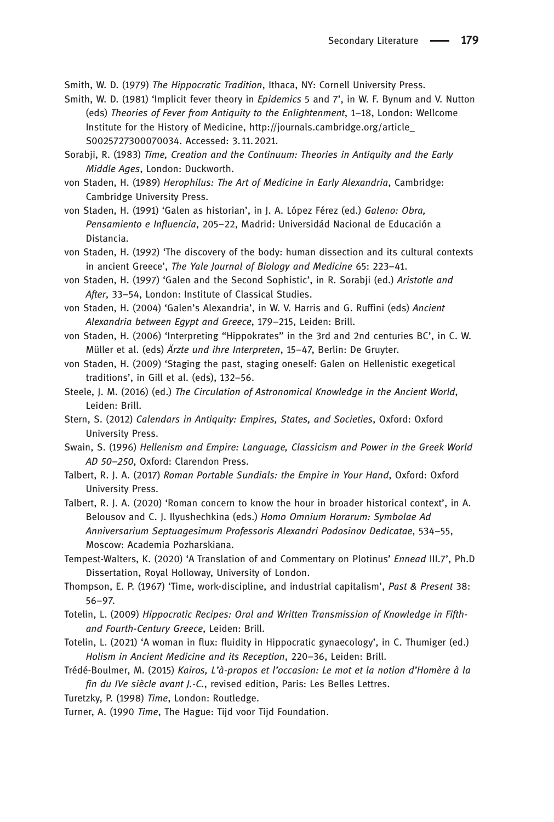Smith, W. D. (1979) The Hippocratic Tradition, Ithaca, NY: Cornell University Press.

- Smith, W. D. (1981) 'Implicit fever theory in *Epidemics* 5 and 7', in W. F. Bynum and V. Nutton (eds) Theories of Fever from Antiquity to the Enlightenment, 1–18, London: Wellcome Institute for the History of Medicine, [http://journals.cambridge.org/article\\_](http://journals.cambridge.org/article_S0025727300070034) [S0025727300070034](http://journals.cambridge.org/article_S0025727300070034). Accessed: 3. 11.2021.
- Sorabji, R. (1983) Time, Creation and the Continuum: Theories in Antiquity and the Early Middle Ages, London: Duckworth.
- von Staden, H. (1989) Herophilus: The Art of Medicine in Early Alexandria, Cambridge: Cambridge University Press.
- von Staden, H. (1991) 'Galen as historian', in J. A. López Férez (ed.) Galeno: Obra, Pensamiento e Influencia, 205–22, Madrid: Universidád Nacional de Educación a Distancia.
- von Staden, H. (1992) 'The discovery of the body: human dissection and its cultural contexts in ancient Greece', The Yale Journal of Biology and Medicine 65: 223–41.
- von Staden, H. (1997) 'Galen and the Second Sophistic', in R. Sorabji (ed.) Aristotle and After, 33–54, London: Institute of Classical Studies.
- von Staden, H. (2004) 'Galen's Alexandria', in W. V. Harris and G. Ruffini (eds) Ancient Alexandria between Egypt and Greece, 179–215, Leiden: Brill.
- von Staden, H. (2006) 'Interpreting "Hippokrates" in the 3rd and 2nd centuries BC', in C. W. Müller et al. (eds) Ärzte und ihre Interpreten, 15–47, Berlin: De Gruyter.
- von Staden, H. (2009) 'Staging the past, staging oneself: Galen on Hellenistic exegetical traditions', in Gill et al. (eds), 132–56.
- Steele, J. M. (2016) (ed.) The Circulation of Astronomical Knowledge in the Ancient World, Leiden: Brill.
- Stern, S. (2012) Calendars in Antiquity: Empires, States, and Societies, Oxford: Oxford University Press.
- Swain, S. (1996) Hellenism and Empire: Language, Classicism and Power in the Greek World AD 50–250, Oxford: Clarendon Press.
- Talbert, R. J. A. (2017) Roman Portable Sundials: the Empire in Your Hand, Oxford: Oxford University Press.
- Talbert, R. J. A. (2020) 'Roman concern to know the hour in broader historical context', in A. Belousov and C. J. Ilyushechkina (eds.) Homo Omnium Horarum: Symbolae Ad Anniversarium Septuagesimum Professoris Alexandri Podosinov Dedicatae, 534–55, Moscow: Academia Pozharskiana.
- Tempest-Walters, K. (2020) 'A Translation of and Commentary on Plotinus' Ennead III.7', Ph.D Dissertation, Royal Holloway, University of London.
- Thompson, E. P. (1967) 'Time, work-discipline, and industrial capitalism', Past & Present 38: 56–97.
- Totelin, L. (2009) Hippocratic Recipes: Oral and Written Transmission of Knowledge in Fifthand Fourth-Century Greece, Leiden: Brill.
- Totelin, L. (2021) 'A woman in flux: fluidity in Hippocratic gynaecology', in C. Thumiger (ed.) Holism in Ancient Medicine and its Reception, 220–36, Leiden: Brill.
- Trédé-Boulmer, M. (2015) Kairos, L'à-propos et l'occasion: Le mot et la notion d'Homère à la fin du IVe siècle avant J.-C., revised edition, Paris: Les Belles Lettres.
- Turetzky, P. (1998) Time, London: Routledge.
- Turner, A. (1990 Time, The Hague: Tijd voor Tijd Foundation.